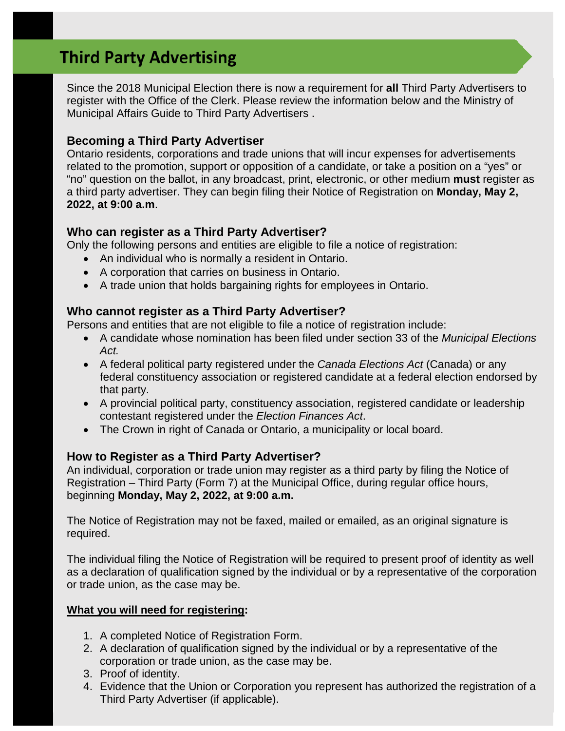# **Third Party Advertising**

 Since the 2018 Municipal Election there is now a requirement for **all** Third Party Advertisers to register with the Office of the Clerk. Please review the information below and the Ministry of Municipal Affairs Guide to Third Party Advertisers .

# **Becoming a Third Party Advertiser**

 Ontario residents, corporations and trade unions that will incur expenses for advertisements related to the promotion, support or opposition of a candidate, or take a position on a "yes" or "no" question on the ballot, in any broadcast, print, electronic, or other medium **must** register as a third party advertiser. They can begin filing their Notice of Registration on **Monday, May 2, 2022, at 9:00 a.m**.

# **Who can register as a Third Party Advertiser?**

Only the following persons and entities are eligible to file a notice of registration:

- An individual who is normally a resident in Ontario.
- A corporation that carries on business in Ontario.
- A trade union that holds bargaining rights for employees in Ontario.

# **Who cannot register as a Third Party Advertiser?**

Persons and entities that are not eligible to file a notice of registration include:

- A candidate whose nomination has been filed under section 33 of the *Municipal Elections Act.*
- A federal political party registered under the *Canada Elections Act* (Canada) or any federal constituency association or registered candidate at a federal election endorsed by that party.
- A provincial political party, constituency association, registered candidate or leadership contestant registered under the *Election Finances Act*.
- The Crown in right of Canada or Ontario, a municipality or local board.

# **How to Register as a Third Party Advertiser?**

 An individual, corporation or trade union may register as a third party by filing the Notice of Registration – Third Party (Form 7) at the Municipal Office, during regular office hours,  beginning **Monday, May 2, 2022, at 9:00 a.m.** 

 The Notice of Registration may not be faxed, mailed or emailed, as an original signature is required.

 The individual filing the Notice of Registration will be required to present proof of identity as well as a declaration of qualification signed by the individual or by a representative of the corporation or trade union, as the case may be.

#### **What you will need for registering:**

- 1. A completed Notice of Registration Form.
- 2. A declaration of qualification signed by the individual or by a representative of the corporation or trade union, as the case may be.
- 3. Proof of identity.
- 4. Evidence that the Union or Corporation you represent has authorized the registration of a Third Party Advertiser (if applicable).